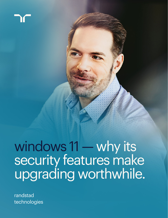windows 11 — why its security features make upgrading worthwhile.

randstad technologies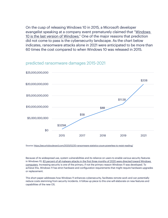On the cusp of releasing Windows 10 in 2015, a Microsoft developer evangelist speaking at a company event prematurely claimed that ["Windows](https://www.theverge.com/2015/5/7/8568473/windows-10-last-version-of-windows)  [10 is the last version of Windows](https://www.theverge.com/2015/5/7/8568473/windows-10-last-version-of-windows)." One of the major reasons that prediction did not come to pass is the cybersecurity landscape. As the chart below indicates, ransomware attacks alone in 2021 were anticipated to be more than 60 times the cost compared to when Windows 10 was released in 2015.



#### predicted ransomware damages 2015-2021

Source:<https://securityboulevard.com/2020/02/20-ransomware-statistics-youre-powerless-to-resist-reading/>

Because of its widespread use, system vulnerabilities and its reliance on users to enable various security features in Windows 10, [83 percent of all malware attacks in the first three months of 2020 were directed toward Windows](https://www.av-test.org/en/news/facts-analyses-on-the-threat-scenario-the-av-test-security-report-2019-2020/)  [computers.](https://www.av-test.org/en/news/facts-analyses-on-the-threat-scenario-the-av-test-security-report-2019-2020/) Increasing security is one of the primary, if not the primary reason Windows 11 was developed. To achieve this, Windows 11 has strict hardware and configuration requirements that might require hardware upgrades or replacement.

This short paper addresses how Windows 11 enhances cybersecurity, facilitates remote work and can potentially reduce costs stemming from security incidents. A follow-up piece to this one will elaborate on new features and capabilities of the new OS.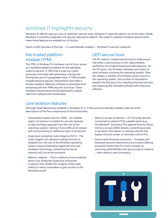## windows 11 highlights security

Windows 10 offered users an array of "optional" security tools. Windows 11 takes the options out of the users' hands. Windows 11 smoothly integrates core security features by default. The system's updated hardware requirements mean these features are enabled out of the box.

Here's a brief overview of the new — or automatically enabled — Windows 11 security measures.

### the trusted platform module (TPM)

The TPM, or Windows 11's hardware root of trust, serves as a hardware-based foundation for the operating system's security. A TPM chip is a secure cryptoprocessor that helps with generating, storing and limiting the use of cryptographic keys. A TPM includes multiple physical security mechanisms that make it tamper-resistant. Malicious software is prevented from tampering with the TPM's security functions. These hardware requirements should significantly reduce risks from malware and ransomware.

### UEFI secure boot

The PC industry created secure boot to help ensure that when a device boots it only uses software verified by the Original Equipment Manufacturer. As the PC boots, the firmware validates each piece of boot software including the operating system. After the validity is verified, the firmware gives control to the operating system. Secure boot is intended to prevent the bad guys from hijacking the boot process and replacing the intended software with malicious software.

#### core isolation features

Although these features are available in Windows 10, in 11 they are automatically enabled. Here are short descriptions of the five components of this functionality:

- Virtualization-based security (VBS) An isolated region of memory is created for security features or data and kept separate from the rest of the operating system, making it more difficult to tamper with and providing an additional layer of protection.
- Hypervisor-protected code integrity (HVCI) The code integrity (CI) decision-making function is isolated from the rest of the Windows operating system using virtualization-based security and hardware technology, protecting the kernel memory and virtual environment.
- Memory integrity This is a feature of core isolation which runs inside the hypervisor-protected container that verifies the integrity of the code, making it nearly impossible to gain access to the Windows kernel.
- Memory access protection PCI hot plug devices connected to external PCIe capable ports (e.g., Thunderbolt™ 3) protect PCs against drive-by direct memory access (DMA) attacks, preventing access to sensitive information or malware attacks that bypass the lock screen or remotely control PCs.
- Device-level firmware protection Firmware and hardware security mechanisms are in place offering protection before the PC is even booted up, removing vulnerabilities that give access to systems – often without users knowing it.

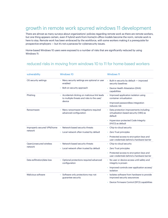## growth in remote work spurred windows 11 development

There are almost as many surveys about organizations' policies regarding remote work as there are remote workers, but one thing appears certain, even if hybrid work-from-home/in-office models become the norm, remote work is here to stay. Remote work has been embraced by the workforce, with some workers making it a prerequisite for prospective employers — but it's not a panacea for cybersecurity issues.

Home-based Windows 10 users were exposed to a number of risks that are significantly reduced by using Windows 11:

#### reduced risks in moving from windows 10 to 11 for home-based workers

| vulnerability                          | Windows 10                                                                                               | <b>Windows 11</b>                                                                             |  |
|----------------------------------------|----------------------------------------------------------------------------------------------------------|-----------------------------------------------------------------------------------------------|--|
| OS security settings                   | Many security settings are optional or user<br>enabled                                                   | • Built-in security by default - improved<br>security baselines                               |  |
|                                        | Bolt-on security approach<br>۰                                                                           | Device Health Attestation (DHA)<br>capabilities                                               |  |
| Phishing                               | Accidental clicking on malicious link leads<br>٠<br>to multiple threats and risks to the user/<br>device | • Improved application isolation using<br>container virtualization                            |  |
|                                        |                                                                                                          | • Improved passwordless integration<br>reduces risk                                           |  |
| Ransomware                             | Many ransomware mitigations required<br>advanced configuration                                           | • Data protection improvements including<br>virtualization-based security (VBS) as<br>default |  |
|                                        |                                                                                                          | • Hypervisor-protected Code Integrity<br>(HVCI) as default                                    |  |
| Improperly secured VPN/home<br>network | • Network-based security threats                                                                         | • Chip-to-cloud security                                                                      |  |
|                                        | • Local network often trusted by default                                                                 | • Zero Trust principles                                                                       |  |
|                                        |                                                                                                          | • Protected access to encryption keys and<br>user credentials behind a hardware barrier       |  |
| Open/unsecured wireless<br>network     | • Network-based security threats                                                                         | • Chip-to-cloud security                                                                      |  |
|                                        | • Local network often trusted by default                                                                 | • Zero Trust principles                                                                       |  |
|                                        |                                                                                                          | • Protected access to encryption keys and<br>user credentials behind a hardware barrier       |  |
| Data exfiltration/data loss            | Optional protections required advanced<br>٠<br>configuration                                             | • No user or device access until safety and<br>integrity is proven                            |  |
|                                        |                                                                                                          | • Improved controls over application access/<br>isolation                                     |  |
| Malicious software                     | Software only protections may not<br>guarantee security                                                  | · Isolates software from hardware to provide<br>improved security assurances                  |  |
|                                        |                                                                                                          | • Device Firmware Control (DFCI) capabilities                                                 |  |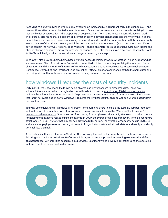According to [a study published by HP,](https://press.hp.com/content/dam/sites/garage-press/press/press-releases/2021/wolf-security-and-flexworker/2021_HP_Wolf_Security_Blurred_Lines_Report.pdf) global cyberattacks increased by 238 percent early in the pandemic — and many of these attacks were directed at remote workers. One aspect of remote work is especially troubling for those responsible for cybersecurity — the propensity of people working from home to use personal devices for work. The HP study also found that 88 percent of information technology decision makers said they worry their risk of a breach has risen because employees are using personal devices for work that were not built with business security in mind. Some of this risk can be mitigated if the personal device uses Windows 11 (which we recommend if the device can run the new OS). Not only does Windows 11 enable an enterprise-class operating system on tablets and phones offering a consistent cross-platform user experience, but it also maintains an enterprise OS security profile for BYOD, which might allow the security team to get a better night's sleep.

Windows 11 also provides home home based workers access to Microsoft Azure Attestation, which supports what we have termed "Zero Trust at Home." Attestation is a unified solution for remotely verifying the trustworthiness of a platform and the integrity of internal software binaries. It enables advanced security features such as Azure Confidential Computing and Intelligent Edge protection. Attestation offers confidence both to the home user and the IT department that only legitimate software is running on trusted hardware.

## how windows 11 reduces the costs of security incidents

Early in 2018, the Specter and Meltdown hacks allowed bad players access to protected data. These two vulnerabilities were remedied through a hardware fix — but not before [an estimated \\$18 billion was spent to](https://www.statista.com/statistics/800258/worldwide-meltdown-spectre-potential-mitigation-cost-by-device-type/)  [mitigate the vulnerabilities](https://www.statista.com/statistics/800258/worldwide-meltdown-spectre-potential-mitigation-cost-by-device-type/) found as a result. To protect users against these types of "transient execution" attacks that target hardware design flaws, Windows 11 requires the TPM 2.0 security chip, as well as a CPU released within the past four years.

In giving users guidance for Windows 11, Microsoft is encouraging users to enable the system's Tamper Protection feature to protect themselves against ransomware. The software giant claims [that Windows 11 will prevent 60](https://www.microsoft.com/security/blog/2021/10/04/windows-11-offers-chip-to-cloud-protection-to-meet-the-new-security-challenges-of-hybrid-work/)  [percent of malware attacks](https://www.microsoft.com/security/blog/2021/10/04/windows-11-offers-chip-to-cloud-protection-to-meet-the-new-security-challenges-of-hybrid-work/). Given the cost of recovering from a cybersecurity attack, Windows 11 has the potential for helping organizations realize significant savings. In 2020, the [average total cost of recovery from a ransomware](https://www.sophos.com/en-us/press-office/press-releases/2021/04/ransomware-recovery-cost-reaches-nearly-dollar-2-million-more-than-doubling-in-a-year.aspx)  [attack was \\$761,106](https://www.sophos.com/en-us/press-office/press-releases/2021/04/ransomware-recovery-cost-reaches-nearly-dollar-2-million-more-than-doubling-in-a-year.aspx). By 2021, that number had [grown to \\$1.85 million](https://www.sophos.com/en-us/press-office/press-releases/2021/04/ransomware-recovery-cost-reaches-nearly-dollar-2-million-more-than-doubling-in-a-year.aspx). The average ransom now paid is \$170,404, and even after paying a ransom, only eight percent of organizations retrieved all their data — and nearly a third only got back less than half.

As noted earlier, threat protection in Windows 11 is not solely focused on hardware-based countermeasures. As the following chart indicates, Windows 11 offers multiple layers of security protection including elements that defend against potential vulnerabilities posed by cloud services, user identity and privacy, applications and the operating system, as well as the computer's hardware.

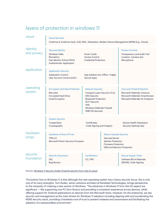| cloud                   | <b>Cloud Services</b><br>OneDrive & OneDrive Vault, AAD, MSA, Attestation, Modern Device Management (MDM) (e.g., Intune)                                                                                               |                                                                                                                                                                                                                               |                                                                                                                                                    |                                                                                                                                         |  |
|-------------------------|------------------------------------------------------------------------------------------------------------------------------------------------------------------------------------------------------------------------|-------------------------------------------------------------------------------------------------------------------------------------------------------------------------------------------------------------------------------|----------------------------------------------------------------------------------------------------------------------------------------------------|-----------------------------------------------------------------------------------------------------------------------------------------|--|
| identity<br>and privacy | <b>Secured Identity</b><br><b>Windows Hello</b><br><b>Smart Cards</b><br><b>Biometrics</b><br><b>Access Control</b><br>Fast Identity Online (FIDO)<br><b>Credential Protection</b><br><b>Authenticator Application</b> |                                                                                                                                                                                                                               |                                                                                                                                                    | <b>Privacy Controls</b><br>Transparency and Audit Trail<br>Location, Camera and<br>Microphone                                           |  |
| application             | <b>Application Security</b><br><b>Application Control</b><br>User Account Control (UAC)                                                                                                                                | App Isolation (inc Office + Edge)<br><b>Secure Apps</b>                                                                                                                                                                       |                                                                                                                                                    |                                                                                                                                         |  |
| operating<br>system     | <b>Encryption and Data Protection</b><br><b>BitLocker</b><br><b>Encrypted Hard Drive</b><br><b>Email Encyption</b>                                                                                                     | <b>Network Security</b><br><b>Transport Layer Security (TLS)</b><br><b>DNS Security</b><br><b>Bluetooth Protection</b><br><b>Wi-Fi Security</b><br><b>VPN</b><br><b>Windows Defender Firewall</b><br><b>SMB File Services</b> |                                                                                                                                                    | <b>Virus and Threat Protection</b><br>Microsoft Defender Antivirus<br>Microsoft Defender SmartScreen<br>Microsoft Defender for Endpoint |  |
|                         | <b>System Security</b><br><b>Trusted Boot</b><br>Cryptography                                                                                                                                                          | <b>Certificates</b><br>Code Signing and Integrity                                                                                                                                                                             |                                                                                                                                                    | <b>Device Health Attestation</b><br>Security (setting) App                                                                              |  |
| hardware<br>(chip)      | Hardware of Root-of-Trust<br><b>TPM 2.0</b><br>Microsoft Pluton Security Processor                                                                                                                                     |                                                                                                                                                                                                                               | <b>Silicon Assisted Security</b><br><b>Secured Kernel</b><br><b>Identity Protection</b><br><b>Firmware Protection</b><br>DMA and Memory Protection |                                                                                                                                         |  |
| security<br>foundation  | <b>Security Assurance</b><br><b>SDL</b><br><b>Bug Bounty</b>                                                                                                                                                           | Certification<br>CC, FIPS                                                                                                                                                                                                     |                                                                                                                                                    | <b>Secure Supply Chain</b><br>Software Bill of Materials<br>(SBOM), Code Signing                                                        |  |

# layers of protection in windows 11

Source: [Windows 11 Security Guide: Powerful security from chip to cloud](https://query.prod.cms.rt.microsoft.com/cms/api/am/binary/RWMvI1).

The bottom line on Windows 11 is that although this new operating system has a heavy security focus, this is only one of its many strengths. Tom Ruden, senior solutions architect at Randstad Technologies, brings perspective to the necessity of creating a new version of Windows: "The advances in Windows 11 from the OS aspect are significant — like supporting non-PC form factors and providing a consistent experience across devices, while offering support for Android applications on devices from the Microsoft Store. However, for the enterprise, we see security and management as the main drivers for Windows 11 adoption including aligning with and accelerating the M365 security stack, providing a hardware root-of-trust to prevent malware and ransomware and facilitating the adoption of a passwordless environment."